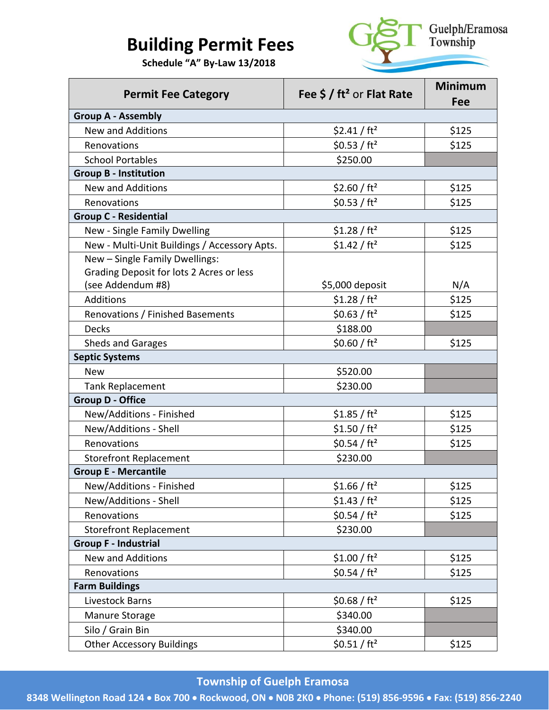# **Building Permit Fees**

 **Schedule "A" By-Law 13/2018**



| <b>Permit Fee Category</b>                   | Fee $\frac{2}{3}$ / ft <sup>2</sup> or Flat Rate | <b>Minimum</b><br>Fee |
|----------------------------------------------|--------------------------------------------------|-----------------------|
| <b>Group A - Assembly</b>                    |                                                  |                       |
| <b>New and Additions</b>                     | \$2.41 / ft <sup>2</sup>                         | \$125                 |
| Renovations                                  | \$0.53 / ft <sup>2</sup>                         | \$125                 |
| <b>School Portables</b>                      | \$250.00                                         |                       |
| <b>Group B - Institution</b>                 |                                                  |                       |
| <b>New and Additions</b>                     | \$2.60 / $ft^2$                                  | \$125                 |
| Renovations                                  | \$0.53 / ft <sup>2</sup>                         | \$125                 |
| <b>Group C - Residential</b>                 |                                                  |                       |
| New - Single Family Dwelling                 | \$1.28 / ft <sup>2</sup>                         | \$125                 |
| New - Multi-Unit Buildings / Accessory Apts. | \$1.42 / ft <sup>2</sup>                         | \$125                 |
| New - Single Family Dwellings:               |                                                  |                       |
| Grading Deposit for lots 2 Acres or less     |                                                  |                       |
| (see Addendum #8)                            | \$5,000 deposit                                  | N/A                   |
| Additions                                    | \$1.28 / ft <sup>2</sup>                         | \$125                 |
| Renovations / Finished Basements             | \$0.63 / ft <sup>2</sup>                         | \$125                 |
| <b>Decks</b>                                 | \$188.00                                         |                       |
| <b>Sheds and Garages</b>                     | \$0.60 / ft <sup>2</sup>                         | \$125                 |
| <b>Septic Systems</b>                        |                                                  |                       |
| <b>New</b>                                   | \$520.00                                         |                       |
| <b>Tank Replacement</b>                      | \$230.00                                         |                       |
| <b>Group D - Office</b>                      |                                                  |                       |
| New/Additions - Finished                     | \$1.85 / ft <sup>2</sup>                         | \$125                 |
| New/Additions - Shell                        | \$1.50 / ft <sup>2</sup>                         | \$125                 |
| Renovations                                  | \$0.54 / ft <sup>2</sup>                         | \$125                 |
| <b>Storefront Replacement</b>                | \$230.00                                         |                       |
| <b>Group E - Mercantile</b>                  |                                                  |                       |
| New/Additions - Finished                     | \$1.66 / ft <sup>2</sup>                         | \$125                 |
| New/Additions - Shell                        | \$1.43 / ft <sup>2</sup>                         | \$125                 |
| Renovations                                  | \$0.54 / ft <sup>2</sup>                         | \$125                 |
| <b>Storefront Replacement</b>                | \$230.00                                         |                       |
| <b>Group F - Industrial</b>                  |                                                  |                       |
| New and Additions                            | \$1.00 / ft <sup>2</sup>                         | \$125                 |
| Renovations                                  | \$0.54 / ft <sup>2</sup>                         | \$125                 |
| <b>Farm Buildings</b>                        |                                                  |                       |
| Livestock Barns                              | \$0.68 / $ft^2$                                  | \$125                 |
| Manure Storage                               | \$340.00                                         |                       |
| Silo / Grain Bin                             | \$340.00                                         |                       |
| <b>Other Accessory Buildings</b>             | \$0.51 / ft <sup>2</sup>                         | \$125                 |

## **Township of Guelph Eramosa**

**8348 Wellington Road 124** • **Box 700** • **Rockwood, ON** • **N0B 2K0** • **Phone: (519) 856-9596** • **Fax: (519) 856-2240**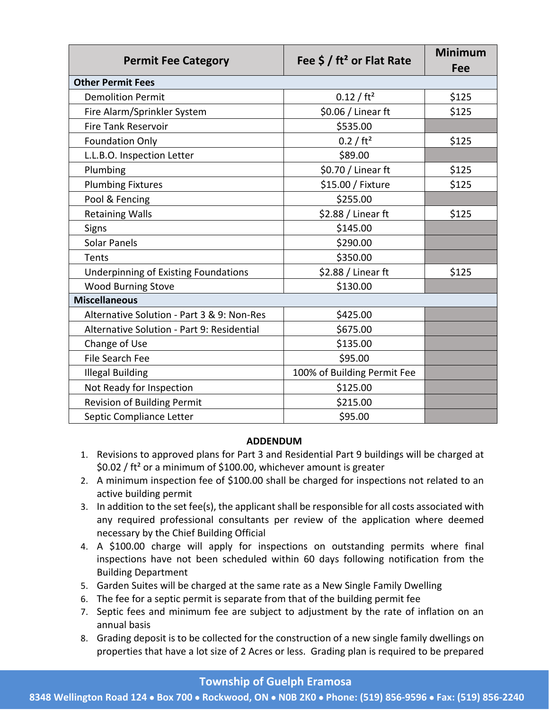| <b>Permit Fee Category</b>                  | Fee $\frac{2}{3}$ / ft <sup>2</sup> or Flat Rate | <b>Minimum</b><br>Fee |
|---------------------------------------------|--------------------------------------------------|-----------------------|
| <b>Other Permit Fees</b>                    |                                                  |                       |
| <b>Demolition Permit</b>                    | 0.12 / ft <sup>2</sup>                           | \$125                 |
| Fire Alarm/Sprinkler System                 | \$0.06 / Linear ft                               | \$125                 |
| <b>Fire Tank Reservoir</b>                  | \$535.00                                         |                       |
| <b>Foundation Only</b>                      | 0.2 / ft <sup>2</sup>                            | \$125                 |
| L.L.B.O. Inspection Letter                  | \$89.00                                          |                       |
| Plumbing                                    | \$0.70 / Linear ft                               | \$125                 |
| <b>Plumbing Fixtures</b>                    | \$15.00 / Fixture                                | \$125                 |
| Pool & Fencing                              | \$255.00                                         |                       |
| <b>Retaining Walls</b>                      | \$2.88 / Linear ft                               | \$125                 |
| <b>Signs</b>                                | \$145.00                                         |                       |
| <b>Solar Panels</b>                         | \$290.00                                         |                       |
| Tents                                       | \$350.00                                         |                       |
| <b>Underpinning of Existing Foundations</b> | \$2.88 / Linear ft                               | \$125                 |
| <b>Wood Burning Stove</b>                   | \$130.00                                         |                       |
| <b>Miscellaneous</b>                        |                                                  |                       |
| Alternative Solution - Part 3 & 9: Non-Res  | \$425.00                                         |                       |
| Alternative Solution - Part 9: Residential  | \$675.00                                         |                       |
| Change of Use                               | \$135.00                                         |                       |
| <b>File Search Fee</b>                      | \$95.00                                          |                       |
| <b>Illegal Building</b>                     | 100% of Building Permit Fee                      |                       |
| Not Ready for Inspection                    | \$125.00                                         |                       |
| Revision of Building Permit                 | \$215.00                                         |                       |
| Septic Compliance Letter                    | \$95.00                                          |                       |

#### **ADDENDUM**

- 1. Revisions to approved plans for Part 3 and Residential Part 9 buildings will be charged at \$0.02 / ft² or a minimum of \$100.00, whichever amount is greater
- 2. A minimum inspection fee of \$100.00 shall be charged for inspections not related to an active building permit
- 3. In addition to the set fee(s), the applicant shall be responsible for all costs associated with any required professional consultants per review of the application where deemed necessary by the Chief Building Official
- 4. A \$100.00 charge will apply for inspections on outstanding permits where final inspections have not been scheduled within 60 days following notification from the Building Department
- 5. Garden Suites will be charged at the same rate as a New Single Family Dwelling
- 6. The fee for a septic permit is separate from that of the building permit fee
- 7. Septic fees and minimum fee are subject to adjustment by the rate of inflation on an annual basis
- 8. Grading deposit is to be collected for the construction of a new single family dwellings on properties that have a lot size of 2 Acres or less. Grading plan is required to be prepared

#### **Township of Guelph Eramosa**

**8348 Wellington Road 124** • **Box 700** • **Rockwood, ON** • **N0B 2K0** • **Phone: (519) 856-9596** • **Fax: (519) 856-2240**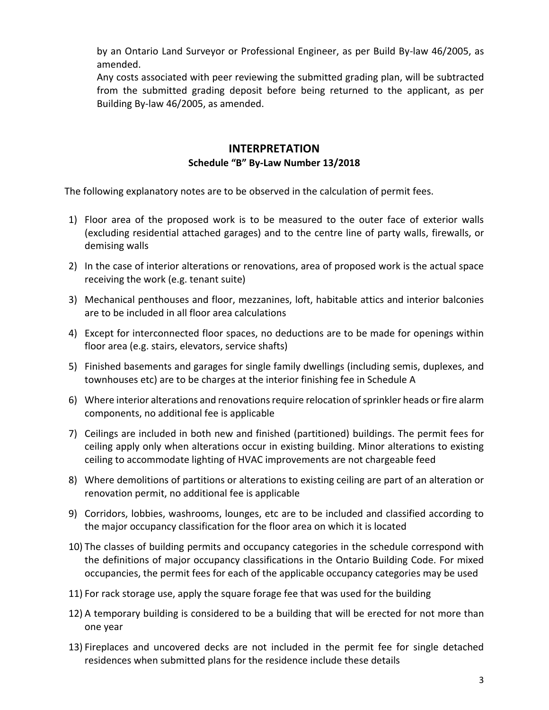by an Ontario Land Surveyor or Professional Engineer, as per Build By-law 46/2005, as amended.

Any costs associated with peer reviewing the submitted grading plan, will be subtracted from the submitted grading deposit before being returned to the applicant, as per Building By-law 46/2005, as amended.

### **INTERPRETATION Schedule "B" By-Law Number 13/2018**

The following explanatory notes are to be observed in the calculation of permit fees.

- 1) Floor area of the proposed work is to be measured to the outer face of exterior walls (excluding residential attached garages) and to the centre line of party walls, firewalls, or demising walls
- 2) In the case of interior alterations or renovations, area of proposed work is the actual space receiving the work (e.g. tenant suite)
- 3) Mechanical penthouses and floor, mezzanines, loft, habitable attics and interior balconies are to be included in all floor area calculations
- 4) Except for interconnected floor spaces, no deductions are to be made for openings within floor area (e.g. stairs, elevators, service shafts)
- 5) Finished basements and garages for single family dwellings (including semis, duplexes, and townhouses etc) are to be charges at the interior finishing fee in Schedule A
- 6) Where interior alterations and renovations require relocation of sprinkler heads or fire alarm components, no additional fee is applicable
- 7) Ceilings are included in both new and finished (partitioned) buildings. The permit fees for ceiling apply only when alterations occur in existing building. Minor alterations to existing ceiling to accommodate lighting of HVAC improvements are not chargeable feed
- 8) Where demolitions of partitions or alterations to existing ceiling are part of an alteration or renovation permit, no additional fee is applicable
- 9) Corridors, lobbies, washrooms, lounges, etc are to be included and classified according to the major occupancy classification for the floor area on which it is located
- 10) The classes of building permits and occupancy categories in the schedule correspond with the definitions of major occupancy classifications in the Ontario Building Code. For mixed occupancies, the permit fees for each of the applicable occupancy categories may be used
- 11) For rack storage use, apply the square forage fee that was used for the building
- 12) A temporary building is considered to be a building that will be erected for not more than one year
- 13) Fireplaces and uncovered decks are not included in the permit fee for single detached residences when submitted plans for the residence include these details